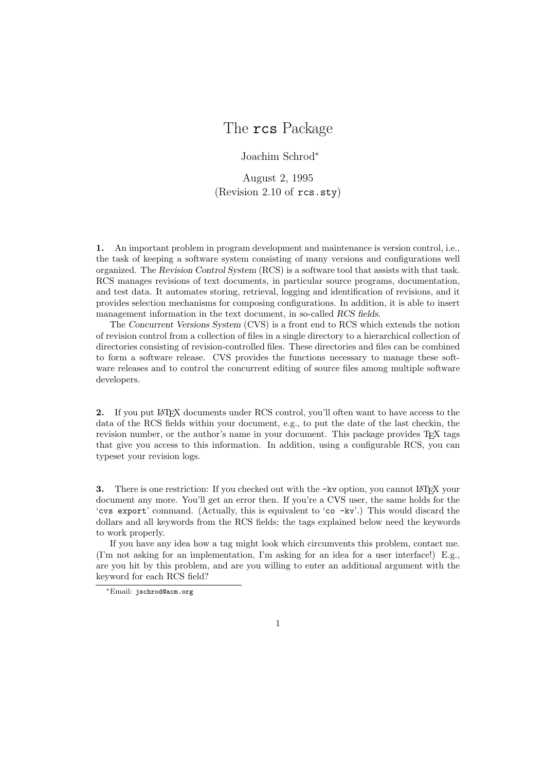# The rcs Package

Joachim Schrod<sup>∗</sup>

August 2, 1995 (Revision 2.10 of rcs.sty)

**1.** An important problem in program development and maintenance is version control, i.e., the task of keeping a software system consisting of many versions and configurations well organized. The *Revision Control System* (RCS) is a software tool that assists with that task. RCS manages revisions of text documents, in particular source programs, documentation, and test data. It automates storing, retrieval, logging and identification of revisions, and it provides selection mechanisms for composing configurations. In addition, it is able to insert management information in the text document, in so-called *RCS fields*.

The *Concurrent Versions System* (CVS) is a front end to RCS which extends the notion of revision control from a collection of files in a single directory to a hierarchical collection of directories consisting of revision-controlled files. These directories and files can be combined to form a software release. CVS provides the functions necessary to manage these software releases and to control the concurrent editing of source files among multiple software developers.

**2.** If you put LAT<sub>EX</sub> documents under RCS control, you'll often want to have access to the data of the RCS fields within your document, e.g., to put the date of the last checkin, the revision number, or the author's name in your document. This package provides T<sub>E</sub>X tags that give you access to this information. In addition, using a configurable RCS, you can typeset your revision logs.

**3.** There is one restriction: If you checked out with the -kv option, you cannot IATEX your document any more. You'll get an error then. If you're a CVS user, the same holds for the 'cvs export' command. (Actually, this is equivalent to 'co  $-kv'$ .) This would discard the dollars and all keywords from the RCS fields; the tags explained below need the keywords to work properly.

If you have any idea how a tag might look which circumvents this problem, contact me. (I'm not asking for an implementation, I'm asking for an idea for a user interface!) E.g., are you hit by this problem, and are you willing to enter an additional argument with the keyword for each RCS field?

<sup>∗</sup>Email: jschrod@acm.org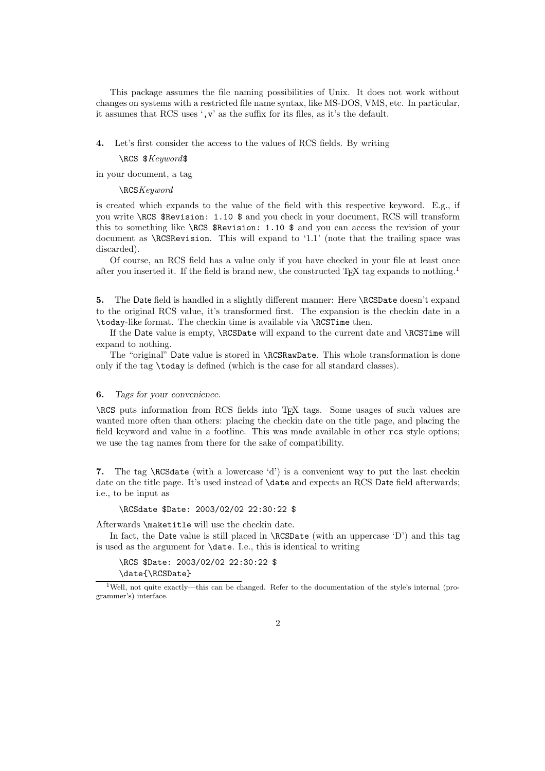This package assumes the file naming possibilities of Unix. It does not work without changes on systems with a restricted file name syntax, like MS-DOS, VMS, etc. In particular, it assumes that RCS uses ',v' as the suffix for its files, as it's the default.

#### **4.** Let's first consider the access to the values of RCS fields. By writing

#### \RCS \$*Keyword*\$

in your document, a tag

## \RCS*Keyword*

is created which expands to the value of the field with this respective keyword. E.g., if you write \RCS \$Revision: 1.10 \$ and you check in your document, RCS will transform this to something like \RCS \$Revision: 1.10 \$ and you can access the revision of your document as \RCSRevision. This will expand to '1.1' (note that the trailing space was discarded).

Of course, an RCS field has a value only if you have checked in your file at least once after you inserted it. If the field is brand new, the constructed T<sub>E</sub>X tag expands to nothing.<sup>1</sup>

**5.** The Date field is handled in a slightly different manner: Here \RCSDate doesn't expand to the original RCS value, it's transformed first. The expansion is the checkin date in a \today-like format. The checkin time is available via \RCSTime then.

If the Date value is empty, \RCSDate will expand to the current date and \RCSTime will expand to nothing.

The "original" Date value is stored in \RCSRawDate. This whole transformation is done only if the tag \today is defined (which is the case for all standard classes).

#### **6.** *Tags for your convenience*.

\RCS puts information from RCS fields into TEX tags. Some usages of such values are wanted more often than others: placing the checkin date on the title page, and placing the field keyword and value in a footline. This was made available in other rcs style options; we use the tag names from there for the sake of compatibility.

**7.** The tag \RCSdate (with a lowercase 'd') is a convenient way to put the last checkin date on the title page. It's used instead of **\date** and expects an RCS Date field afterwards; i.e., to be input as

\RCSdate \$Date: 2003/02/02 22:30:22 \$

Afterwards \maketitle will use the checkin date.

In fact, the Date value is still placed in  $\RCSDate$  (with an uppercase 'D') and this tag is used as the argument for \date. I.e., this is identical to writing

\RCS \$Date: 2003/02/02 22:30:22 \$ \date{\RCSDate}

<sup>&</sup>lt;sup>1</sup>Well, not quite exactly—this can be changed. Refer to the documentation of the style's internal (programmer's) interface.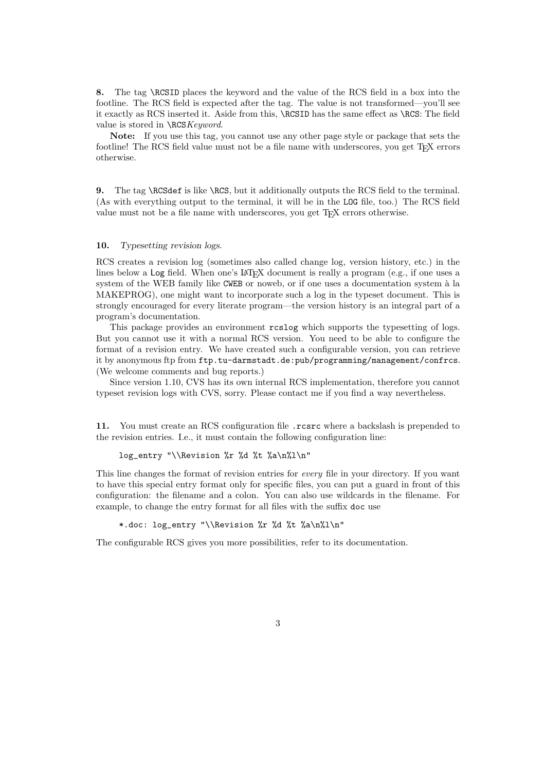**8.** The tag \RCSID places the keyword and the value of the RCS field in a box into the footline. The RCS field is expected after the tag. The value is not transformed—you'll see it exactly as RCS inserted it. Aside from this, \RCSID has the same effect as \RCS: The field value is stored in \RCS*Keyword*.

**Note:** If you use this tag, you cannot use any other page style or package that sets the footline! The RCS field value must not be a file name with underscores, you get TFX errors otherwise.

**9.** The tag \RCSdef is like \RCS, but it additionally outputs the RCS field to the terminal. (As with everything output to the terminal, it will be in the LOG file, too.) The RCS field value must not be a file name with underscores, you get TEX errors otherwise.

## **10.** *Typesetting revision logs*.

RCS creates a revision log (sometimes also called change log, version history, etc.) in the lines below a Log field. When one's LAT<sub>EX</sub> document is really a program (e.g., if one uses a system of the WEB family like CWEB or noweb, or if one uses a documentation system à la MAKEPROG), one might want to incorporate such a log in the typeset document. This is strongly encouraged for every literate program—the version history is an integral part of a program's documentation.

This package provides an environment rcslog which supports the typesetting of logs. But you cannot use it with a normal RCS version. You need to be able to configure the format of a revision entry. We have created such a configurable version, you can retrieve it by anonymous ftp from ftp.tu-darmstadt.de:pub/programming/management/confrcs. (We welcome comments and bug reports.)

Since version 1.10, CVS has its own internal RCS implementation, therefore you cannot typeset revision logs with CVS, sorry. Please contact me if you find a way nevertheless.

**11.** You must create an RCS configuration file .rcsrc where a backslash is prepended to the revision entries. I.e., it must contain the following configuration line:

## log\_entry "\\Revision %r %d %t %a\n%l\n"

This line changes the format of revision entries for *every* file in your directory. If you want to have this special entry format only for specific files, you can put a guard in front of this configuration: the filename and a colon. You can also use wildcards in the filename. For example, to change the entry format for all files with the suffix doc use

## \*.doc: log\_entry "\\Revision %r %d %t %a\n%l\n"

The configurable RCS gives you more possibilities, refer to its documentation.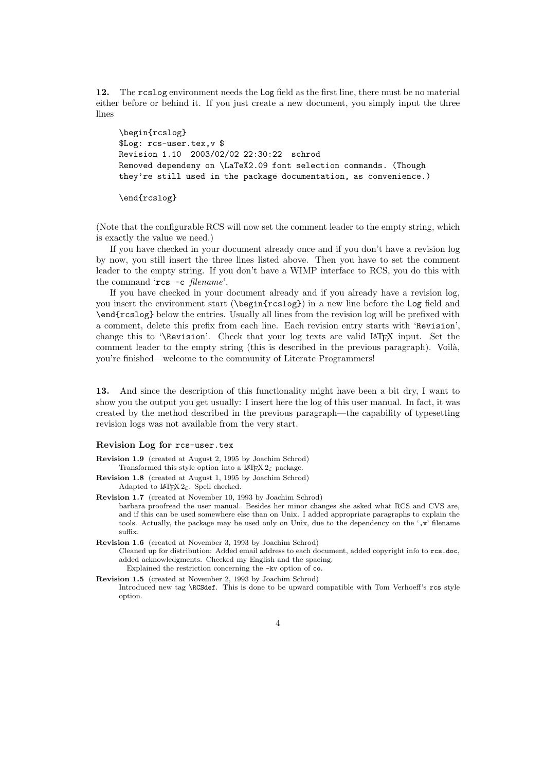**12.** The rcslog environment needs the Log field as the first line, there must be no material either before or behind it. If you just create a new document, you simply input the three lines

\begin{rcslog} \$Log: rcs-user.tex,v \$ Revision 1.10 2003/02/02 22:30:22 schrod Removed dependeny on \LaTeX2.09 font selection commands. (Though they're still used in the package documentation, as convenience.)

\end{rcslog}

(Note that the configurable RCS will now set the comment leader to the empty string, which is exactly the value we need.)

If you have checked in your document already once and if you don't have a revision log by now, you still insert the three lines listed above. Then you have to set the comment leader to the empty string. If you don't have a WIMP interface to RCS, you do this with the command 'rcs -c *filename*'.

If you have checked in your document already and if you already have a revision log, you insert the environment start (\begin{rcslog}) in a new line before the Log field and \end{rcslog} below the entries. Usually all lines from the revision log will be prefixed with a comment, delete this prefix from each line. Each revision entry starts with 'Revision', change this to '\Revision'. Check that your log texts are valid LATEX input. Set the comment leader to the empty string (this is described in the previous paragraph). Voilà, you're finished—welcome to the community of Literate Programmers!

**13.** And since the description of this functionality might have been a bit dry, I want to show you the output you get usually: I insert here the log of this user manual. In fact, it was created by the method described in the previous paragraph—the capability of typesetting revision logs was not available from the very start.

# **Revision Log for** rcs-user.tex

- **Revision 1.9** (created at August 2, 1995 by Joachim Schrod) Transformed this style option into a LATEX  $2\varepsilon$  package.
- **Revision 1.8** (created at August 1, 1995 by Joachim Schrod) Adapted to  $\text{LATEX } 2\varepsilon$ . Spell checked.
- **Revision 1.7** (created at November 10, 1993 by Joachim Schrod) barbara proofread the user manual. Besides her minor changes she asked what RCS and CVS are, and if this can be used somewhere else than on Unix. I added appropriate paragraphs to explain the tools. Actually, the package may be used only on Unix, due to the dependency on the ',v' filename suffix.

**Revision 1.6** (created at November 3, 1993 by Joachim Schrod) Cleaned up for distribution: Added email address to each document, added copyright info to rcs.doc, added acknowledgments. Checked my English and the spacing. Explained the restriction concerning the -kv option of co.

**Revision 1.5** (created at November 2, 1993 by Joachim Schrod)

Introduced new tag \RCSdef. This is done to be upward compatible with Tom Verhoeff's rcs style option.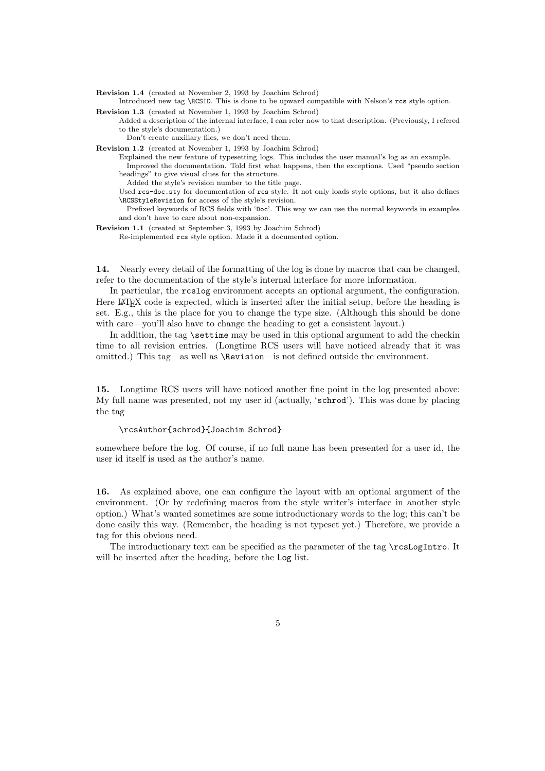**Revision 1.4** (created at November 2, 1993 by Joachim Schrod)

Introduced new tag \RCSID. This is done to be upward compatible with Nelson's rcs style option. **Revision 1.3** (created at November 1, 1993 by Joachim Schrod)

Added a description of the internal interface, I can refer now to that description. (Previously, I refered to the style's documentation.)

Don't create auxiliary files, we don't need them.

**Revision 1.2** (created at November 1, 1993 by Joachim Schrod)

- Explained the new feature of typesetting logs. This includes the user manual's log as an example. Improved the documentation. Told first what happens, then the exceptions. Used "pseudo section headings" to give visual clues for the structure.
	- Added the style's revision number to the title page.
- Used rcs-doc.sty for documentation of rcs style. It not only loads style options, but it also defines \RCSStyleRevision for access of the style's revision.

Prefixed keywords of RCS fields with 'Doc'. This way we can use the normal keywords in examples and don't have to care about non-expansion.

- **Revision 1.1** (created at September 3, 1993 by Joachim Schrod)
	- Re-implemented rcs style option. Made it a documented option.

**14.** Nearly every detail of the formatting of the log is done by macros that can be changed, refer to the documentation of the style's internal interface for more information.

In particular, the rcslog environment accepts an optional argument, the configuration. Here LAT<sub>EX</sub> code is expected, which is inserted after the initial setup, before the heading is set. E.g., this is the place for you to change the type size. (Although this should be done with care—you'll also have to change the heading to get a consistent layout.)

In addition, the tag \settime may be used in this optional argument to add the checkin time to all revision entries. (Longtime RCS users will have noticed already that it was omitted.) This tag—as well as \Revision—is not defined outside the environment.

**15.** Longtime RCS users will have noticed another fine point in the log presented above: My full name was presented, not my user id (actually, 'schrod'). This was done by placing the tag

#### \rcsAuthor{schrod}{Joachim Schrod}

somewhere before the log. Of course, if no full name has been presented for a user id, the user id itself is used as the author's name.

**16.** As explained above, one can configure the layout with an optional argument of the environment. (Or by redefining macros from the style writer's interface in another style option.) What's wanted sometimes are some introductionary words to the log; this can't be done easily this way. (Remember, the heading is not typeset yet.) Therefore, we provide a tag for this obvious need.

The introductionary text can be specified as the parameter of the tag \rcsLogIntro. It will be inserted after the heading, before the  $\textsf{Log}$  list.